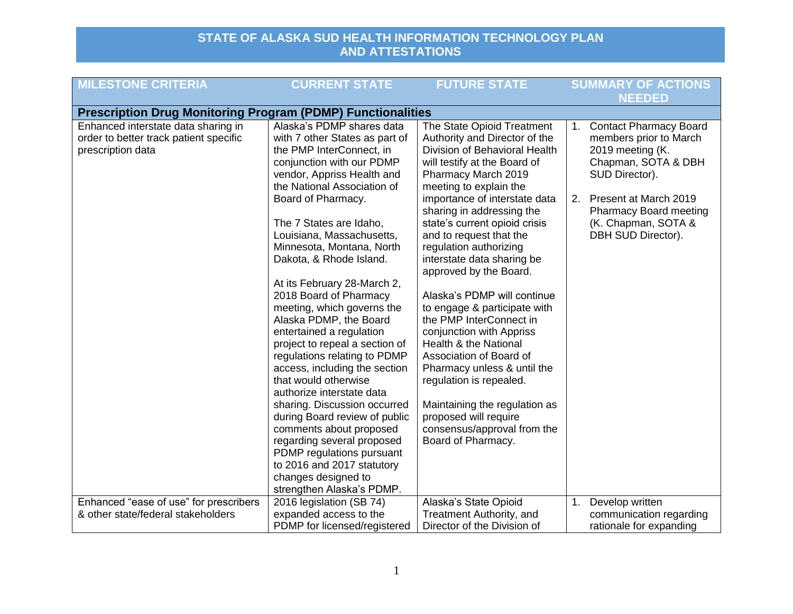| <b>MILESTONE CRITERIA</b>                                                                          | <b>CURRENT STATE</b>                                                                                                                                                                                                                                                                              | <b>FUTURE STATE</b>                                                                                                                                                                                                              | <b>SUMMARY OF ACTIONS</b><br><b>NEEDED</b>                                                                       |
|----------------------------------------------------------------------------------------------------|---------------------------------------------------------------------------------------------------------------------------------------------------------------------------------------------------------------------------------------------------------------------------------------------------|----------------------------------------------------------------------------------------------------------------------------------------------------------------------------------------------------------------------------------|------------------------------------------------------------------------------------------------------------------|
| <b>Prescription Drug Monitoring Program (PDMP) Functionalities</b>                                 |                                                                                                                                                                                                                                                                                                   |                                                                                                                                                                                                                                  |                                                                                                                  |
| Enhanced interstate data sharing in<br>order to better track patient specific<br>prescription data | Alaska's PDMP shares data<br>with 7 other States as part of<br>the PMP InterConnect, in<br>conjunction with our PDMP<br>vendor, Appriss Health and<br>the National Association of                                                                                                                 | The State Opioid Treatment<br>Authority and Director of the<br>Division of Behavioral Health<br>will testify at the Board of<br>Pharmacy March 2019<br>meeting to explain the                                                    | 1. Contact Pharmacy Board<br>members prior to March<br>2019 meeting (K.<br>Chapman, SOTA & DBH<br>SUD Director). |
|                                                                                                    | Board of Pharmacy.<br>The 7 States are Idaho,<br>Louisiana, Massachusetts,<br>Minnesota, Montana, North<br>Dakota, & Rhode Island.                                                                                                                                                                | importance of interstate data<br>sharing in addressing the<br>state's current opioid crisis<br>and to request that the<br>regulation authorizing<br>interstate data sharing be<br>approved by the Board.                         | Present at March 2019<br>2.<br><b>Pharmacy Board meeting</b><br>(K. Chapman, SOTA &<br>DBH SUD Director).        |
|                                                                                                    | At its February 28-March 2,<br>2018 Board of Pharmacy<br>meeting, which governs the<br>Alaska PDMP, the Board<br>entertained a regulation<br>project to repeal a section of<br>regulations relating to PDMP<br>access, including the section<br>that would otherwise<br>authorize interstate data | Alaska's PDMP will continue<br>to engage & participate with<br>the PMP InterConnect in<br>conjunction with Appriss<br>Health & the National<br>Association of Board of<br>Pharmacy unless & until the<br>regulation is repealed. |                                                                                                                  |
|                                                                                                    | sharing. Discussion occurred<br>during Board review of public<br>comments about proposed<br>regarding several proposed<br>PDMP regulations pursuant<br>to 2016 and 2017 statutory<br>changes designed to<br>strengthen Alaska's PDMP.                                                             | Maintaining the regulation as<br>proposed will require<br>consensus/approval from the<br>Board of Pharmacy.                                                                                                                      |                                                                                                                  |
| Enhanced "ease of use" for prescribers<br>& other state/federal stakeholders                       | 2016 legislation (SB 74)<br>expanded access to the<br>PDMP for licensed/registered                                                                                                                                                                                                                | Alaska's State Opioid<br>Treatment Authority, and<br>Director of the Division of                                                                                                                                                 | 1. Develop written<br>communication regarding<br>rationale for expanding                                         |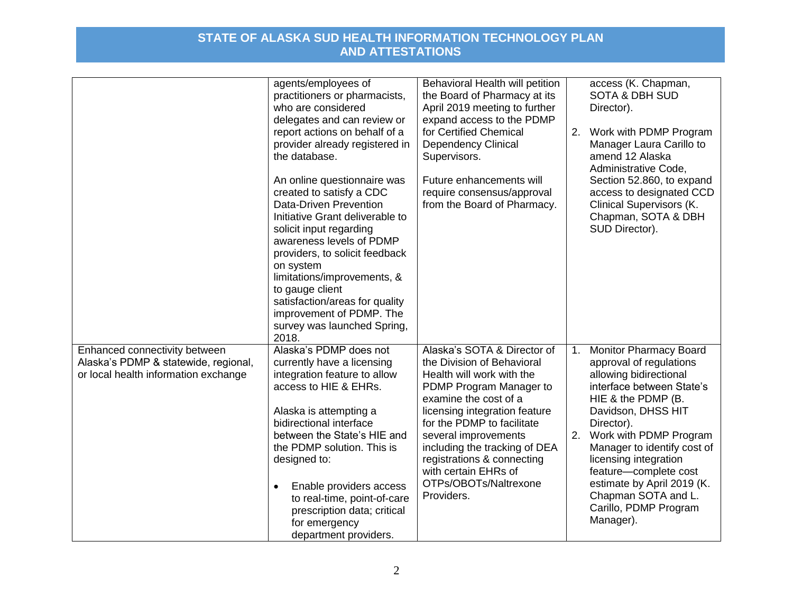|                                                                                                               | agents/employees of<br>practitioners or pharmacists,<br>who are considered<br>delegates and can review or<br>report actions on behalf of a<br>provider already registered in<br>the database.<br>An online questionnaire was<br>created to satisfy a CDC<br><b>Data-Driven Prevention</b><br>Initiative Grant deliverable to<br>solicit input regarding<br>awareness levels of PDMP<br>providers, to solicit feedback<br>on system<br>limitations/improvements, &<br>to gauge client<br>satisfaction/areas for quality<br>improvement of PDMP. The<br>survey was launched Spring,<br>2018. | Behavioral Health will petition<br>the Board of Pharmacy at its<br>April 2019 meeting to further<br>expand access to the PDMP<br>for Certified Chemical<br><b>Dependency Clinical</b><br>Supervisors.<br>Future enhancements will<br>require consensus/approval<br>from the Board of Pharmacy.                                                                  | 2.       | access (K. Chapman,<br><b>SOTA &amp; DBH SUD</b><br>Director).<br>Work with PDMP Program<br>Manager Laura Carillo to<br>amend 12 Alaska<br>Administrative Code,<br>Section 52.860, to expand<br>access to designated CCD<br><b>Clinical Supervisors (K.</b><br>Chapman, SOTA & DBH<br>SUD Director).                                                                            |
|---------------------------------------------------------------------------------------------------------------|--------------------------------------------------------------------------------------------------------------------------------------------------------------------------------------------------------------------------------------------------------------------------------------------------------------------------------------------------------------------------------------------------------------------------------------------------------------------------------------------------------------------------------------------------------------------------------------------|-----------------------------------------------------------------------------------------------------------------------------------------------------------------------------------------------------------------------------------------------------------------------------------------------------------------------------------------------------------------|----------|---------------------------------------------------------------------------------------------------------------------------------------------------------------------------------------------------------------------------------------------------------------------------------------------------------------------------------------------------------------------------------|
| Enhanced connectivity between<br>Alaska's PDMP & statewide, regional,<br>or local health information exchange | Alaska's PDMP does not<br>currently have a licensing<br>integration feature to allow<br>access to HIE & EHRs.<br>Alaska is attempting a<br>bidirectional interface<br>between the State's HIE and<br>the PDMP solution. This is<br>designed to:<br>Enable providers access<br>$\bullet$<br>to real-time, point-of-care<br>prescription data; critical<br>for emergency<br>department providers.                                                                                                                                                                                            | Alaska's SOTA & Director of<br>the Division of Behavioral<br>Health will work with the<br>PDMP Program Manager to<br>examine the cost of a<br>licensing integration feature<br>for the PDMP to facilitate<br>several improvements<br>including the tracking of DEA<br>registrations & connecting<br>with certain EHRs of<br>OTPs/OBOTs/Naltrexone<br>Providers. | 1.<br>2. | <b>Monitor Pharmacy Board</b><br>approval of regulations<br>allowing bidirectional<br>interface between State's<br>HIE & the PDMP (B.<br>Davidson, DHSS HIT<br>Director).<br>Work with PDMP Program<br>Manager to identify cost of<br>licensing integration<br>feature-complete cost<br>estimate by April 2019 (K.<br>Chapman SOTA and L.<br>Carillo, PDMP Program<br>Manager). |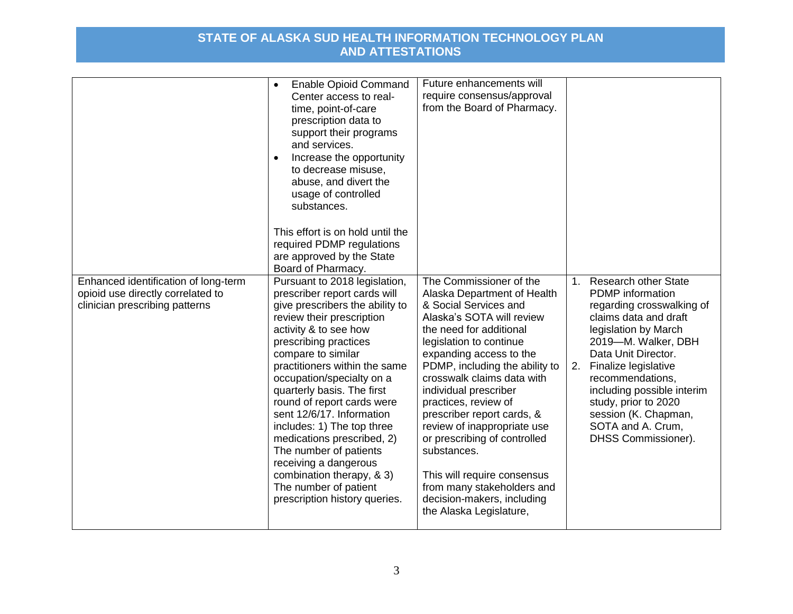|                                                                                                             | <b>Enable Opioid Command</b><br>$\bullet$<br>Center access to real-<br>time, point-of-care<br>prescription data to<br>support their programs<br>and services.<br>Increase the opportunity<br>to decrease misuse.<br>abuse, and divert the<br>usage of controlled<br>substances.<br>This effort is on hold until the<br>required PDMP regulations<br>are approved by the State<br>Board of Pharmacy.                                                                                                                                                                | Future enhancements will<br>require consensus/approval<br>from the Board of Pharmacy.                                                                                                                                                                                                                                                                                                                                                                                                                                                            |    |                                                                                                                                                                                                                                                                                                                                                      |
|-------------------------------------------------------------------------------------------------------------|--------------------------------------------------------------------------------------------------------------------------------------------------------------------------------------------------------------------------------------------------------------------------------------------------------------------------------------------------------------------------------------------------------------------------------------------------------------------------------------------------------------------------------------------------------------------|--------------------------------------------------------------------------------------------------------------------------------------------------------------------------------------------------------------------------------------------------------------------------------------------------------------------------------------------------------------------------------------------------------------------------------------------------------------------------------------------------------------------------------------------------|----|------------------------------------------------------------------------------------------------------------------------------------------------------------------------------------------------------------------------------------------------------------------------------------------------------------------------------------------------------|
| Enhanced identification of long-term<br>opioid use directly correlated to<br>clinician prescribing patterns | Pursuant to 2018 legislation,<br>prescriber report cards will<br>give prescribers the ability to<br>review their prescription<br>activity & to see how<br>prescribing practices<br>compare to similar<br>practitioners within the same<br>occupation/specialty on a<br>quarterly basis. The first<br>round of report cards were<br>sent 12/6/17. Information<br>includes: 1) The top three<br>medications prescribed, 2)<br>The number of patients<br>receiving a dangerous<br>combination therapy, & 3)<br>The number of patient<br>prescription history queries. | The Commissioner of the<br>Alaska Department of Health<br>& Social Services and<br>Alaska's SOTA will review<br>the need for additional<br>legislation to continue<br>expanding access to the<br>PDMP, including the ability to<br>crosswalk claims data with<br>individual prescriber<br>practices, review of<br>prescriber report cards, &<br>review of inappropriate use<br>or prescribing of controlled<br>substances.<br>This will require consensus<br>from many stakeholders and<br>decision-makers, including<br>the Alaska Legislature, | 2. | 1. Research other State<br><b>PDMP</b> information<br>regarding crosswalking of<br>claims data and draft<br>legislation by March<br>2019-M. Walker, DBH<br>Data Unit Director.<br>Finalize legislative<br>recommendations,<br>including possible interim<br>study, prior to 2020<br>session (K. Chapman,<br>SOTA and A. Crum,<br>DHSS Commissioner). |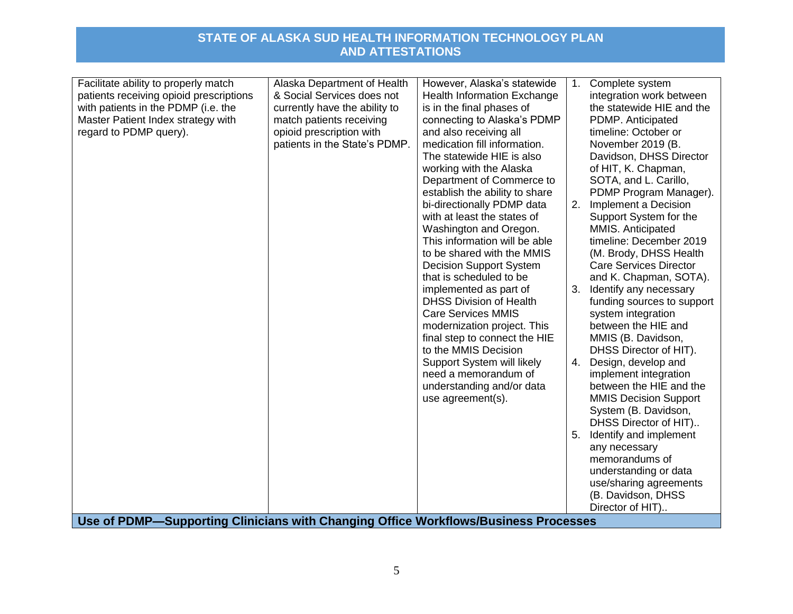| Facilitate ability to properly match<br>patients receiving opioid prescriptions<br>with patients in the PDMP (i.e. the<br>Master Patient Index strategy with<br>regard to PDMP query). | Alaska Department of Health<br>& Social Services does not<br>currently have the ability to<br>match patients receiving<br>opioid prescription with<br>patients in the State's PDMP. | However, Alaska's statewide<br>Health Information Exchange<br>is in the final phases of<br>connecting to Alaska's PDMP<br>and also receiving all<br>medication fill information.<br>The statewide HIE is also<br>working with the Alaska<br>Department of Commerce to<br>establish the ability to share<br>bi-directionally PDMP data<br>with at least the states of<br>Washington and Oregon.<br>This information will be able<br>to be shared with the MMIS<br><b>Decision Support System</b> | 1.<br>2. | Complete system<br>integration work between<br>the statewide HIE and the<br>PDMP. Anticipated<br>timeline: October or<br>November 2019 (B.<br>Davidson, DHSS Director<br>of HIT, K. Chapman,<br>SOTA, and L. Carillo,<br>PDMP Program Manager).<br>Implement a Decision<br>Support System for the<br>MMIS. Anticipated<br>timeline: December 2019<br>(M. Brody, DHSS Health<br><b>Care Services Director</b> |
|----------------------------------------------------------------------------------------------------------------------------------------------------------------------------------------|-------------------------------------------------------------------------------------------------------------------------------------------------------------------------------------|-------------------------------------------------------------------------------------------------------------------------------------------------------------------------------------------------------------------------------------------------------------------------------------------------------------------------------------------------------------------------------------------------------------------------------------------------------------------------------------------------|----------|--------------------------------------------------------------------------------------------------------------------------------------------------------------------------------------------------------------------------------------------------------------------------------------------------------------------------------------------------------------------------------------------------------------|
|                                                                                                                                                                                        |                                                                                                                                                                                     | need a memorandum of<br>understanding and/or data<br>use agreement(s).                                                                                                                                                                                                                                                                                                                                                                                                                          | 5.       | implement integration<br>between the HIE and the<br><b>MMIS Decision Support</b><br>System (B. Davidson,<br>DHSS Director of HIT)<br>Identify and implement<br>any necessary<br>memorandums of<br>understanding or data                                                                                                                                                                                      |
| Use of PDMP-Supporting Clinicians with Changing Office Workflows/Business Processes                                                                                                    |                                                                                                                                                                                     |                                                                                                                                                                                                                                                                                                                                                                                                                                                                                                 |          | use/sharing agreements<br>(B. Davidson, DHSS<br>Director of HIT)                                                                                                                                                                                                                                                                                                                                             |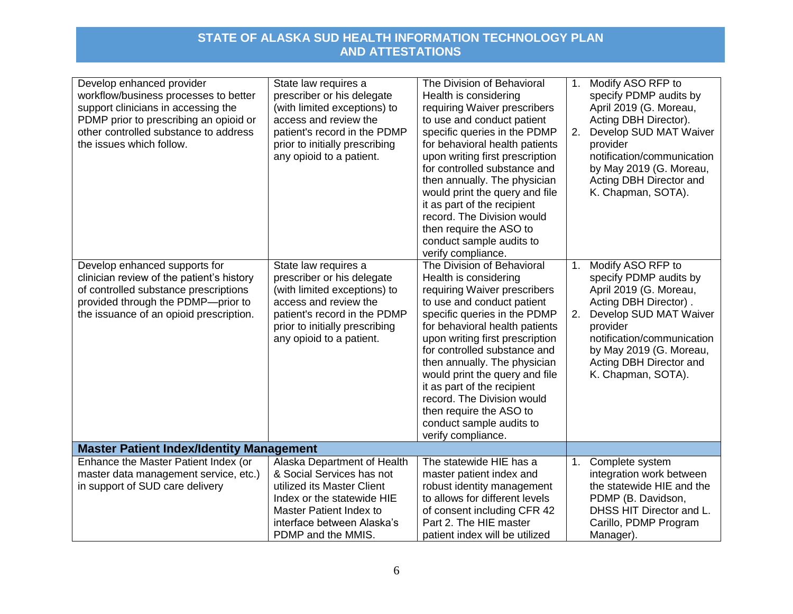| Develop enhanced provider<br>workflow/business processes to better | State law requires a<br>prescriber or his delegate | The Division of Behavioral<br>Health is considering | 1.             | Modify ASO RFP to<br>specify PDMP audits by |
|--------------------------------------------------------------------|----------------------------------------------------|-----------------------------------------------------|----------------|---------------------------------------------|
| support clinicians in accessing the                                | (with limited exceptions) to                       | requiring Waiver prescribers                        |                | April 2019 (G. Moreau,                      |
| PDMP prior to prescribing an opioid or                             | access and review the                              | to use and conduct patient                          |                | Acting DBH Director).                       |
| other controlled substance to address                              | patient's record in the PDMP                       | specific queries in the PDMP                        | 2.             | Develop SUD MAT Waiver                      |
| the issues which follow.                                           | prior to initially prescribing                     | for behavioral health patients                      |                | provider                                    |
|                                                                    | any opioid to a patient.                           | upon writing first prescription                     |                | notification/communication                  |
|                                                                    |                                                    | for controlled substance and                        |                | by May 2019 (G. Moreau,                     |
|                                                                    |                                                    | then annually. The physician                        |                | Acting DBH Director and                     |
|                                                                    |                                                    | would print the query and file                      |                | K. Chapman, SOTA).                          |
|                                                                    |                                                    | it as part of the recipient                         |                |                                             |
|                                                                    |                                                    | record. The Division would                          |                |                                             |
|                                                                    |                                                    | then require the ASO to                             |                |                                             |
|                                                                    |                                                    | conduct sample audits to                            |                |                                             |
|                                                                    |                                                    | verify compliance.                                  |                |                                             |
| Develop enhanced supports for                                      | State law requires a                               | The Division of Behavioral                          | 1 <sub>1</sub> | Modify ASO RFP to                           |
| clinician review of the patient's history                          | prescriber or his delegate                         | Health is considering                               |                | specify PDMP audits by                      |
| of controlled substance prescriptions                              | (with limited exceptions) to                       | requiring Waiver prescribers                        |                | April 2019 (G. Moreau,                      |
| provided through the PDMP-prior to                                 | access and review the                              | to use and conduct patient                          |                | Acting DBH Director).                       |
| the issuance of an opioid prescription.                            | patient's record in the PDMP                       | specific queries in the PDMP                        | 2.             | Develop SUD MAT Waiver                      |
|                                                                    | prior to initially prescribing                     | for behavioral health patients                      |                | provider                                    |
|                                                                    | any opioid to a patient.                           | upon writing first prescription                     |                | notification/communication                  |
|                                                                    |                                                    | for controlled substance and                        |                | by May 2019 (G. Moreau,                     |
|                                                                    |                                                    | then annually. The physician                        |                | Acting DBH Director and                     |
|                                                                    |                                                    | would print the query and file                      |                | K. Chapman, SOTA).                          |
|                                                                    |                                                    | it as part of the recipient                         |                |                                             |
|                                                                    |                                                    | record. The Division would                          |                |                                             |
|                                                                    |                                                    | then require the ASO to                             |                |                                             |
|                                                                    |                                                    | conduct sample audits to                            |                |                                             |
|                                                                    |                                                    | verify compliance.                                  |                |                                             |
| <b>Master Patient Index/Identity Management</b>                    |                                                    |                                                     |                |                                             |
| Enhance the Master Patient Index (or                               | Alaska Department of Health                        | The statewide HIE has a                             | 1.             | Complete system                             |
| master data management service, etc.)                              | & Social Services has not                          | master patient index and                            |                | integration work between                    |
| in support of SUD care delivery                                    | utilized its Master Client                         | robust identity management                          |                | the statewide HIE and the                   |
|                                                                    | Index or the statewide HIE                         | to allows for different levels                      |                | PDMP (B. Davidson,                          |
|                                                                    | Master Patient Index to                            | of consent including CFR 42                         |                | DHSS HIT Director and L.                    |
|                                                                    | interface between Alaska's                         | Part 2. The HIE master                              |                | Carillo, PDMP Program                       |
|                                                                    | PDMP and the MMIS.                                 | patient index will be utilized                      |                | Manager).                                   |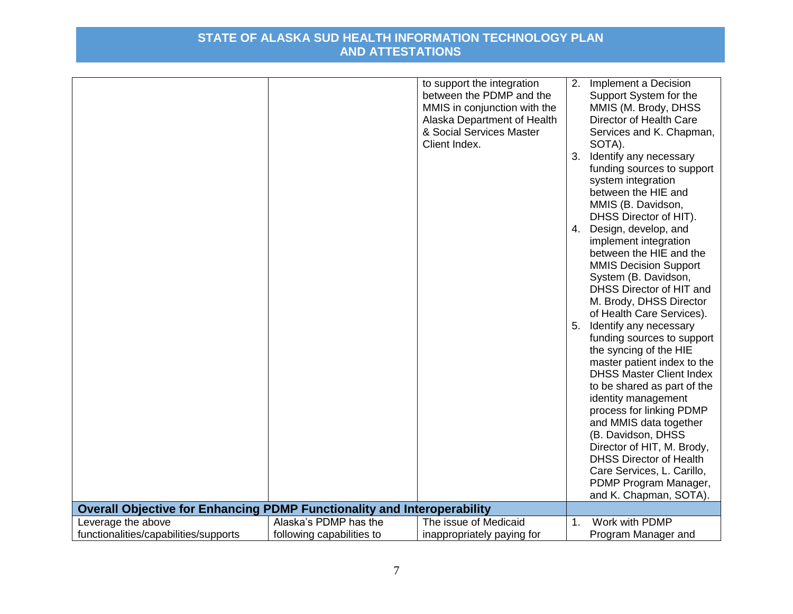|                                                                                |                           | to support the integration<br>between the PDMP and the<br>MMIS in conjunction with the<br>Alaska Department of Health<br>& Social Services Master<br>Client Index. | 2.<br>3. | Implement a Decision<br>Support System for the<br>MMIS (M. Brody, DHSS<br>Director of Health Care<br>Services and K. Chapman,<br>SOTA).<br>Identify any necessary<br>funding sources to support<br>system integration<br>between the HIE and<br>MMIS (B. Davidson,<br>DHSS Director of HIT).<br>4. Design, develop, and<br>implement integration<br>between the HIE and the<br><b>MMIS Decision Support</b><br>System (B. Davidson,<br>DHSS Director of HIT and<br>M. Brody, DHSS Director<br>of Health Care Services).<br>5. Identify any necessary<br>funding sources to support<br>the syncing of the HIE<br>master patient index to the<br><b>DHSS Master Client Index</b><br>to be shared as part of the<br>identity management<br>process for linking PDMP |
|--------------------------------------------------------------------------------|---------------------------|--------------------------------------------------------------------------------------------------------------------------------------------------------------------|----------|------------------------------------------------------------------------------------------------------------------------------------------------------------------------------------------------------------------------------------------------------------------------------------------------------------------------------------------------------------------------------------------------------------------------------------------------------------------------------------------------------------------------------------------------------------------------------------------------------------------------------------------------------------------------------------------------------------------------------------------------------------------|
|                                                                                |                           |                                                                                                                                                                    |          | and MMIS data together<br>(B. Davidson, DHSS<br>Director of HIT, M. Brody,<br><b>DHSS Director of Health</b>                                                                                                                                                                                                                                                                                                                                                                                                                                                                                                                                                                                                                                                     |
|                                                                                |                           |                                                                                                                                                                    |          | Care Services, L. Carillo,<br>PDMP Program Manager,<br>and K. Chapman, SOTA).                                                                                                                                                                                                                                                                                                                                                                                                                                                                                                                                                                                                                                                                                    |
| <b>Overall Objective for Enhancing PDMP Functionality and Interoperability</b> |                           |                                                                                                                                                                    |          |                                                                                                                                                                                                                                                                                                                                                                                                                                                                                                                                                                                                                                                                                                                                                                  |
| Leverage the above                                                             | Alaska's PDMP has the     | The issue of Medicaid                                                                                                                                              | 1.       | Work with PDMP                                                                                                                                                                                                                                                                                                                                                                                                                                                                                                                                                                                                                                                                                                                                                   |
| functionalities/capabilities/supports                                          | following capabilities to | inappropriately paying for                                                                                                                                         |          | Program Manager and                                                                                                                                                                                                                                                                                                                                                                                                                                                                                                                                                                                                                                                                                                                                              |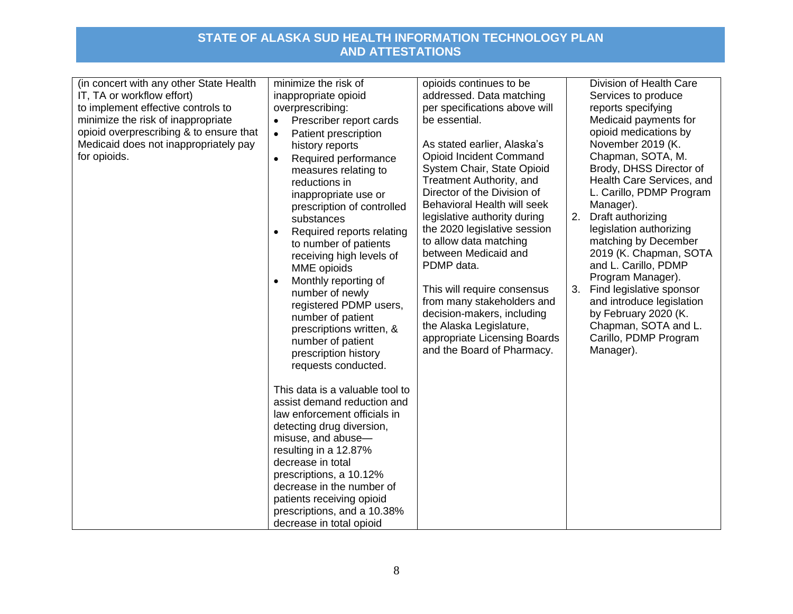| (in concert with any other State Health<br>IT, TA or workflow effort)<br>to implement effective controls to<br>minimize the risk of inappropriate<br>opioid overprescribing & to ensure that<br>Medicaid does not inappropriately pay<br>for opioids. | minimize the risk of<br>inappropriate opioid<br>overprescribing:<br>Prescriber report cards<br>$\bullet$<br>Patient prescription<br>$\bullet$<br>history reports<br>Required performance<br>$\bullet$<br>measures relating to<br>reductions in<br>inappropriate use or<br>prescription of controlled<br>substances<br>Required reports relating<br>$\bullet$<br>to number of patients<br>receiving high levels of<br>MME opioids<br>Monthly reporting of<br>$\bullet$<br>number of newly<br>registered PDMP users,<br>number of patient<br>prescriptions written, &<br>number of patient<br>prescription history<br>requests conducted. | opioids continues to be<br>addressed. Data matching<br>per specifications above will<br>be essential.<br>As stated earlier, Alaska's<br>Opioid Incident Command<br>System Chair, State Opioid<br>Treatment Authority, and<br>Director of the Division of<br>Behavioral Health will seek<br>legislative authority during<br>the 2020 legislative session<br>to allow data matching<br>between Medicaid and<br>PDMP data.<br>This will require consensus<br>from many stakeholders and<br>decision-makers, including<br>the Alaska Legislature,<br>appropriate Licensing Boards<br>and the Board of Pharmacy. | 2.<br>3. | Division of Health Care<br>Services to produce<br>reports specifying<br>Medicaid payments for<br>opioid medications by<br>November 2019 (K.<br>Chapman, SOTA, M.<br>Brody, DHSS Director of<br>Health Care Services, and<br>L. Carillo, PDMP Program<br>Manager).<br>Draft authorizing<br>legislation authorizing<br>matching by December<br>2019 (K. Chapman, SOTA<br>and L. Carillo, PDMP<br>Program Manager).<br>Find legislative sponsor<br>and introduce legislation<br>by February 2020 (K.<br>Chapman, SOTA and L.<br>Carillo, PDMP Program<br>Manager). |
|-------------------------------------------------------------------------------------------------------------------------------------------------------------------------------------------------------------------------------------------------------|-----------------------------------------------------------------------------------------------------------------------------------------------------------------------------------------------------------------------------------------------------------------------------------------------------------------------------------------------------------------------------------------------------------------------------------------------------------------------------------------------------------------------------------------------------------------------------------------------------------------------------------------|-------------------------------------------------------------------------------------------------------------------------------------------------------------------------------------------------------------------------------------------------------------------------------------------------------------------------------------------------------------------------------------------------------------------------------------------------------------------------------------------------------------------------------------------------------------------------------------------------------------|----------|-----------------------------------------------------------------------------------------------------------------------------------------------------------------------------------------------------------------------------------------------------------------------------------------------------------------------------------------------------------------------------------------------------------------------------------------------------------------------------------------------------------------------------------------------------------------|
|                                                                                                                                                                                                                                                       | This data is a valuable tool to<br>assist demand reduction and<br>law enforcement officials in<br>detecting drug diversion,<br>misuse, and abuse-<br>resulting in a 12.87%<br>decrease in total<br>prescriptions, a 10.12%<br>decrease in the number of<br>patients receiving opioid<br>prescriptions, and a 10.38%<br>decrease in total opioid                                                                                                                                                                                                                                                                                         |                                                                                                                                                                                                                                                                                                                                                                                                                                                                                                                                                                                                             |          |                                                                                                                                                                                                                                                                                                                                                                                                                                                                                                                                                                 |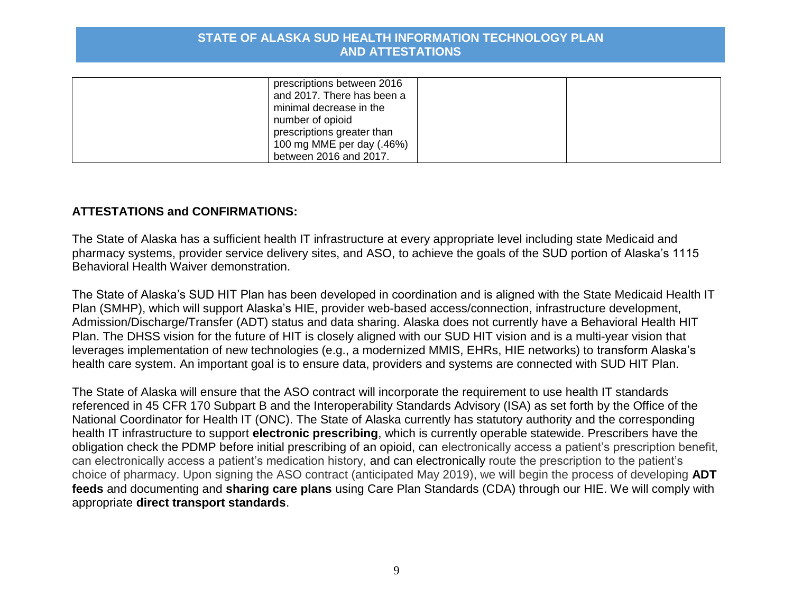| prescriptions between 2016 |  |
|----------------------------|--|
| and 2017. There has been a |  |
| minimal decrease in the    |  |
| number of opioid           |  |
| prescriptions greater than |  |
| 100 mg MME per day (.46%)  |  |
| between 2016 and 2017.     |  |

# **ATTESTATIONS and CONFIRMATIONS:**

The State of Alaska has a sufficient health IT infrastructure at every appropriate level including state Medicaid and pharmacy systems, provider service delivery sites, and ASO, to achieve the goals of the SUD portion of Alaska's 1115 Behavioral Health Waiver demonstration.

The State of Alaska's SUD HIT Plan has been developed in coordination and is aligned with the State Medicaid Health IT Plan (SMHP), which will support Alaska's HIE, provider web-based access/connection, infrastructure development, Admission/Discharge/Transfer (ADT) status and data sharing. Alaska does not currently have a Behavioral Health HIT Plan. The DHSS vision for the future of HIT is closely aligned with our SUD HIT vision and is a multi-year vision that leverages implementation of new technologies (e.g., a modernized MMIS, EHRs, HIE networks) to transform Alaska's health care system. An important goal is to ensure data, providers and systems are connected with SUD HIT Plan.

The State of Alaska will ensure that the ASO contract will incorporate the requirement to use health IT standards referenced in 45 CFR 170 Subpart B and the Interoperability Standards Advisory (ISA) as set forth by the Office of the National Coordinator for Health IT (ONC). The State of Alaska currently has statutory authority and the corresponding health IT infrastructure to support **electronic prescribing**, which is currently operable statewide. Prescribers have the obligation check the PDMP before initial prescribing of an opioid, can electronically access a patient's prescription benefit, can electronically access a patient's medication history, and can electronically route the prescription to the patient's choice of pharmacy. Upon signing the ASO contract (anticipated May 2019), we will begin the process of developing **ADT feeds** and documenting and **sharing care plans** using Care Plan Standards (CDA) through our HIE. We will comply with appropriate **direct transport standards**.